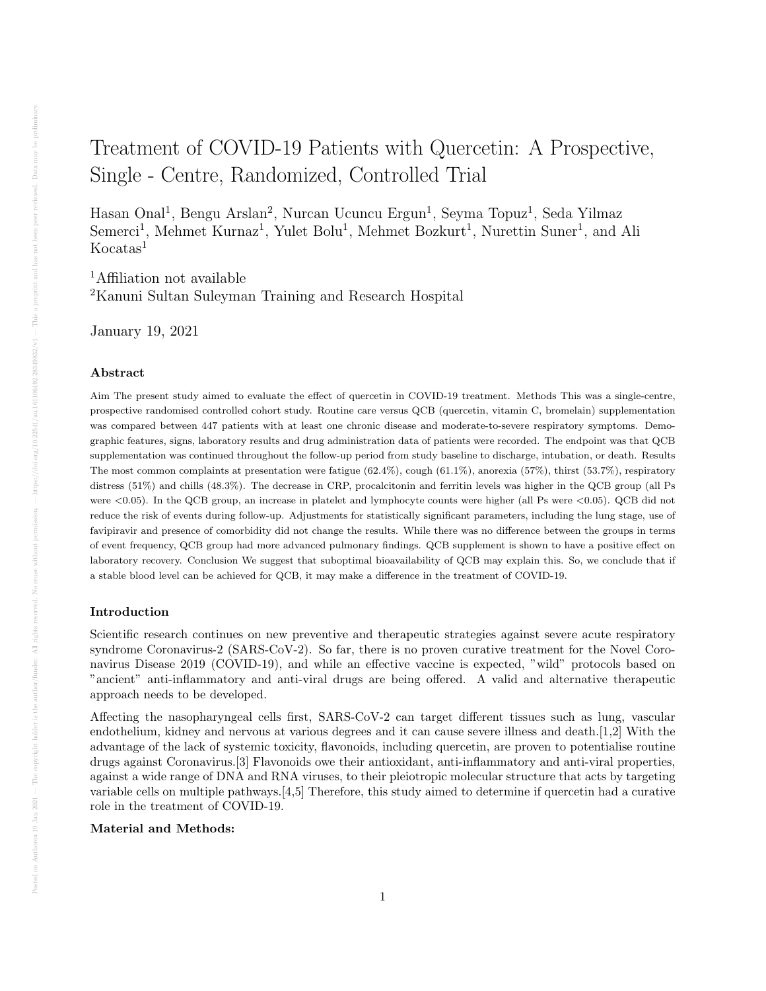# Treatment of COVID-19 Patients with Quercetin: A Prospective, Single - Centre, Randomized, Controlled Trial

Hasan Onal<sup>1</sup>, Bengu Arslan<sup>2</sup>, Nurcan Ucuncu Ergun<sup>1</sup>, Seyma Topuz<sup>1</sup>, Seda Yilmaz Semerci<sup>1</sup>, Mehmet Kurnaz<sup>1</sup>, Yulet Bolu<sup>1</sup>, Mehmet Bozkurt<sup>1</sup>, Nurettin Suner<sup>1</sup>, and Ali  $Kocatas<sup>1</sup>$ 

<sup>1</sup>Affiliation not available <sup>2</sup>Kanuni Sultan Suleyman Training and Research Hospital

January 19, 2021

#### Abstract

Aim The present study aimed to evaluate the effect of quercetin in COVID-19 treatment. Methods This was a single-centre, prospective randomised controlled cohort study. Routine care versus QCB (quercetin, vitamin C, bromelain) supplementation was compared between 447 patients with at least one chronic disease and moderate-to-severe respiratory symptoms. Demographic features, signs, laboratory results and drug administration data of patients were recorded. The endpoint was that QCB supplementation was continued throughout the follow-up period from study baseline to discharge, intubation, or death. Results The most common complaints at presentation were fatigue (62.4%), cough (61.1%), anorexia (57%), thirst (53.7%), respiratory distress (51%) and chills (48.3%). The decrease in CRP, procalcitonin and ferritin levels was higher in the QCB group (all Ps were <0.05). In the QCB group, an increase in platelet and lymphocyte counts were higher (all Ps were <0.05). QCB did not reduce the risk of events during follow-up. Adjustments for statistically significant parameters, including the lung stage, use of favipiravir and presence of comorbidity did not change the results. While there was no difference between the groups in terms of event frequency, QCB group had more advanced pulmonary findings. QCB supplement is shown to have a positive effect on laboratory recovery. Conclusion We suggest that suboptimal bioavailability of QCB may explain this. So, we conclude that if a stable blood level can be achieved for QCB, it may make a difference in the treatment of COVID-19.

#### Introduction

Scientific research continues on new preventive and therapeutic strategies against severe acute respiratory syndrome Coronavirus-2 (SARS-CoV-2). So far, there is no proven curative treatment for the Novel Coronavirus Disease 2019 (COVID-19), and while an effective vaccine is expected, "wild" protocols based on "ancient" anti-inflammatory and anti-viral drugs are being offered. A valid and alternative therapeutic approach needs to be developed.

Affecting the nasopharyngeal cells first, SARS-CoV-2 can target different tissues such as lung, vascular endothelium, kidney and nervous at various degrees and it can cause severe illness and death.[1,2] With the advantage of the lack of systemic toxicity, flavonoids, including quercetin, are proven to potentialise routine drugs against Coronavirus.[3] Flavonoids owe their antioxidant, anti-inflammatory and anti-viral properties, against a wide range of DNA and RNA viruses, to their pleiotropic molecular structure that acts by targeting variable cells on multiple pathways.[4,5] Therefore, this study aimed to determine if quercetin had a curative role in the treatment of COVID-19.

#### Material and Methods: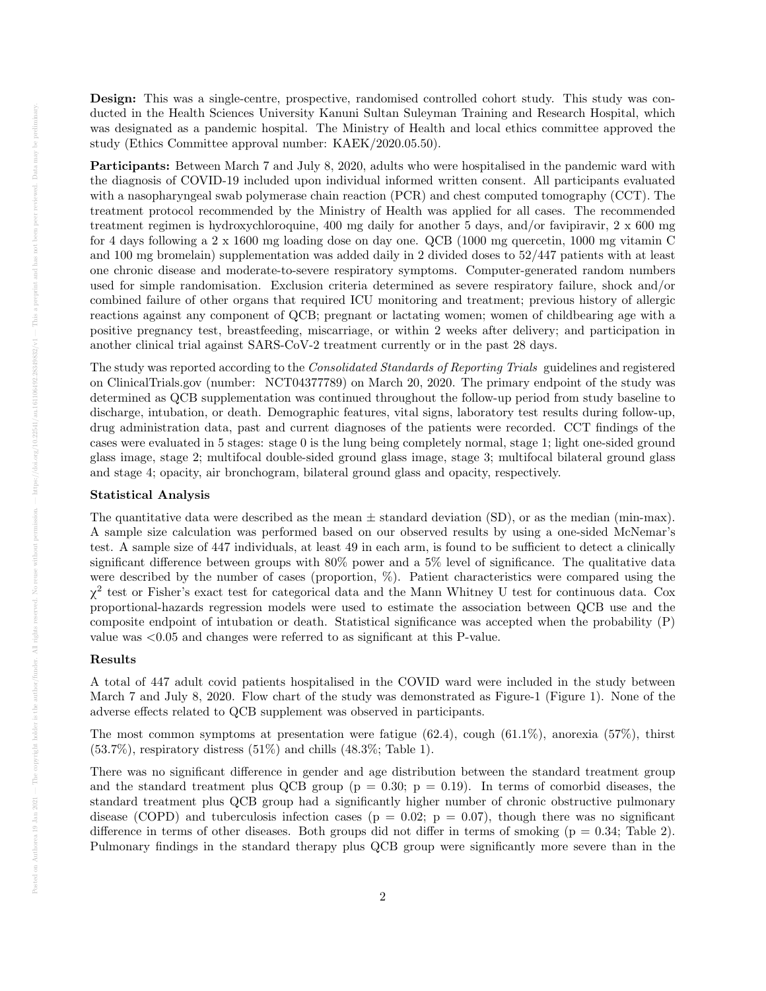Design: This was a single-centre, prospective, randomised controlled cohort study. This study was conducted in the Health Sciences University Kanuni Sultan Suleyman Training and Research Hospital, which was designated as a pandemic hospital. The Ministry of Health and local ethics committee approved the study (Ethics Committee approval number: KAEK/2020.05.50).

Participants: Between March 7 and July 8, 2020, adults who were hospitalised in the pandemic ward with the diagnosis of COVID-19 included upon individual informed written consent. All participants evaluated with a nasopharyngeal swab polymerase chain reaction (PCR) and chest computed tomography (CCT). The treatment protocol recommended by the Ministry of Health was applied for all cases. The recommended treatment regimen is hydroxychloroquine, 400 mg daily for another 5 days, and/or favipiravir, 2 x 600 mg for 4 days following a 2 x 1600 mg loading dose on day one. QCB (1000 mg quercetin, 1000 mg vitamin C and 100 mg bromelain) supplementation was added daily in 2 divided doses to 52/447 patients with at least one chronic disease and moderate-to-severe respiratory symptoms. Computer-generated random numbers used for simple randomisation. Exclusion criteria determined as severe respiratory failure, shock and/or combined failure of other organs that required ICU monitoring and treatment; previous history of allergic reactions against any component of QCB; pregnant or lactating women; women of childbearing age with a positive pregnancy test, breastfeeding, miscarriage, or within 2 weeks after delivery; and participation in another clinical trial against SARS-CoV-2 treatment currently or in the past 28 days.

The study was reported according to the Consolidated Standards of Reporting Trials guidelines and registered on ClinicalTrials.gov (number: NCT04377789) on March 20, 2020. The primary endpoint of the study was determined as QCB supplementation was continued throughout the follow-up period from study baseline to discharge, intubation, or death. Demographic features, vital signs, laboratory test results during follow-up, drug administration data, past and current diagnoses of the patients were recorded. CCT findings of the cases were evaluated in 5 stages: stage 0 is the lung being completely normal, stage 1; light one-sided ground glass image, stage 2; multifocal double-sided ground glass image, stage 3; multifocal bilateral ground glass and stage 4; opacity, air bronchogram, bilateral ground glass and opacity, respectively.

#### Statistical Analysis

The quantitative data were described as the mean  $\pm$  standard deviation (SD), or as the median (min-max). A sample size calculation was performed based on our observed results by using a one-sided McNemar's test. A sample size of 447 individuals, at least 49 in each arm, is found to be sufficient to detect a clinically significant difference between groups with 80% power and a 5% level of significance. The qualitative data were described by the number of cases (proportion,  $\%$ ). Patient characteristics were compared using the χ 2 test or Fisher's exact test for categorical data and the Mann Whitney U test for continuous data. Cox proportional-hazards regression models were used to estimate the association between QCB use and the composite endpoint of intubation or death. Statistical significance was accepted when the probability (P) value was <0.05 and changes were referred to as significant at this P-value.

#### Results

A total of 447 adult covid patients hospitalised in the COVID ward were included in the study between March 7 and July 8, 2020. Flow chart of the study was demonstrated as Figure-1 (Figure 1). None of the adverse effects related to QCB supplement was observed in participants.

The most common symptoms at presentation were fatigue (62.4), cough (61.1%), anorexia (57%), thirst  $(53.7\%)$ , respiratory distress  $(51\%)$  and chills  $(48.3\%;$  Table 1).

There was no significant difference in gender and age distribution between the standard treatment group and the standard treatment plus QCB group ( $p = 0.30$ ;  $p = 0.19$ ). In terms of comorbid diseases, the standard treatment plus QCB group had a significantly higher number of chronic obstructive pulmonary disease (COPD) and tuberculosis infection cases ( $p = 0.02$ ;  $p = 0.07$ ), though there was no significant difference in terms of other diseases. Both groups did not differ in terms of smoking  $(p = 0.34;$  Table 2). Pulmonary findings in the standard therapy plus QCB group were significantly more severe than in the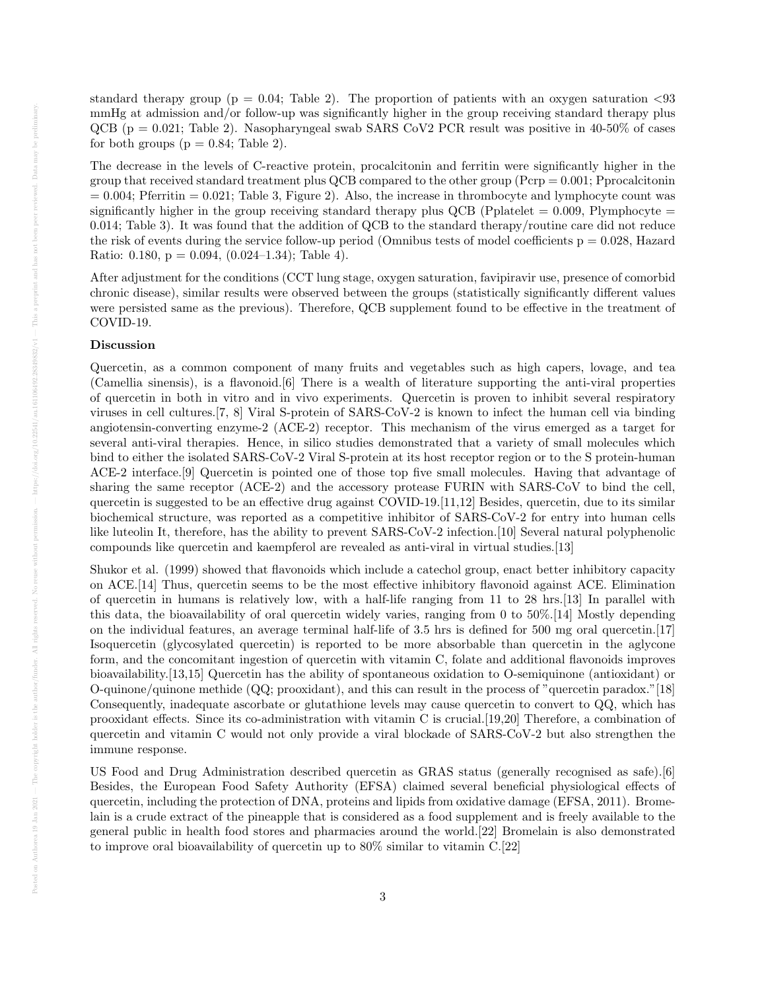standard therapy group ( $p = 0.04$ ; Table 2). The proportion of patients with an oxygen saturation  $\langle 93 \rangle$ mmHg at admission and/or follow-up was significantly higher in the group receiving standard therapy plus QCB (p = 0.021; Table 2). Nasopharyngeal swab SARS CoV2 PCR result was positive in 40-50% of cases for both groups ( $p = 0.84$ ; Table 2).

The decrease in the levels of C-reactive protein, procalcitonin and ferritin were significantly higher in the group that received standard treatment plus QCB compared to the other group (Pcrp = 0.001; Pprocalcitonin  $= 0.004$ ; Pferritin  $= 0.021$ ; Table 3, Figure 2). Also, the increase in thrombocyte and lymphocyte count was significantly higher in the group receiving standard therapy plus QCB (Pplatelet  $= 0.009$ , Plymphocyte  $=$ 0.014; Table 3). It was found that the addition of QCB to the standard therapy/routine care did not reduce the risk of events during the service follow-up period (Omnibus tests of model coefficients  $p = 0.028$ , Hazard Ratio: 0.180,  $p = 0.094$ ,  $(0.024-1.34)$ ; Table 4).

After adjustment for the conditions (CCT lung stage, oxygen saturation, favipiravir use, presence of comorbid chronic disease), similar results were observed between the groups (statistically significantly different values were persisted same as the previous). Therefore, QCB supplement found to be effective in the treatment of COVID-19.

#### Discussion

Quercetin, as a common component of many fruits and vegetables such as high capers, lovage, and tea (Camellia sinensis), is a flavonoid.[6] There is a wealth of literature supporting the anti-viral properties of quercetin in both in vitro and in vivo experiments. Quercetin is proven to inhibit several respiratory viruses in cell cultures.[7, 8] Viral S-protein of SARS-CoV-2 is known to infect the human cell via binding angiotensin-converting enzyme-2 (ACE-2) receptor. This mechanism of the virus emerged as a target for several anti-viral therapies. Hence, in silico studies demonstrated that a variety of small molecules which bind to either the isolated SARS-CoV-2 Viral S-protein at its host receptor region or to the S protein-human ACE-2 interface.[9] Quercetin is pointed one of those top five small molecules. Having that advantage of sharing the same receptor (ACE-2) and the accessory protease FURIN with SARS-CoV to bind the cell, quercetin is suggested to be an effective drug against COVID-19.[11,12] Besides, quercetin, due to its similar biochemical structure, was reported as a competitive inhibitor of SARS-CoV-2 for entry into human cells like luteolin It, therefore, has the ability to prevent SARS-CoV-2 infection.[10] Several natural polyphenolic compounds like quercetin and kaempferol are revealed as anti-viral in virtual studies.[13]

Shukor et al. (1999) showed that flavonoids which include a catechol group, enact better inhibitory capacity on ACE.[14] Thus, quercetin seems to be the most effective inhibitory flavonoid against ACE. Elimination of quercetin in humans is relatively low, with a half-life ranging from 11 to 28 hrs.[13] In parallel with this data, the bioavailability of oral quercetin widely varies, ranging from 0 to 50%.[14] Mostly depending on the individual features, an average terminal half-life of 3.5 hrs is defined for 500 mg oral quercetin.[17] Isoquercetin (glycosylated quercetin) is reported to be more absorbable than quercetin in the aglycone form, and the concomitant ingestion of quercetin with vitamin C, folate and additional flavonoids improves bioavailability.[13,15] Quercetin has the ability of spontaneous oxidation to O-semiquinone (antioxidant) or O-quinone/quinone methide (QQ; prooxidant), and this can result in the process of "quercetin paradox."[18] Consequently, inadequate ascorbate or glutathione levels may cause quercetin to convert to QQ, which has prooxidant effects. Since its co-administration with vitamin C is crucial.[19,20] Therefore, a combination of quercetin and vitamin C would not only provide a viral blockade of SARS-CoV-2 but also strengthen the immune response.

US Food and Drug Administration described quercetin as GRAS status (generally recognised as safe).[6] Besides, the European Food Safety Authority (EFSA) claimed several beneficial physiological effects of quercetin, including the protection of DNA, proteins and lipids from oxidative damage (EFSA, 2011). Bromelain is a crude extract of the pineapple that is considered as a food supplement and is freely available to the general public in health food stores and pharmacies around the world.[22] Bromelain is also demonstrated to improve oral bioavailability of quercetin up to 80% similar to vitamin C.[22]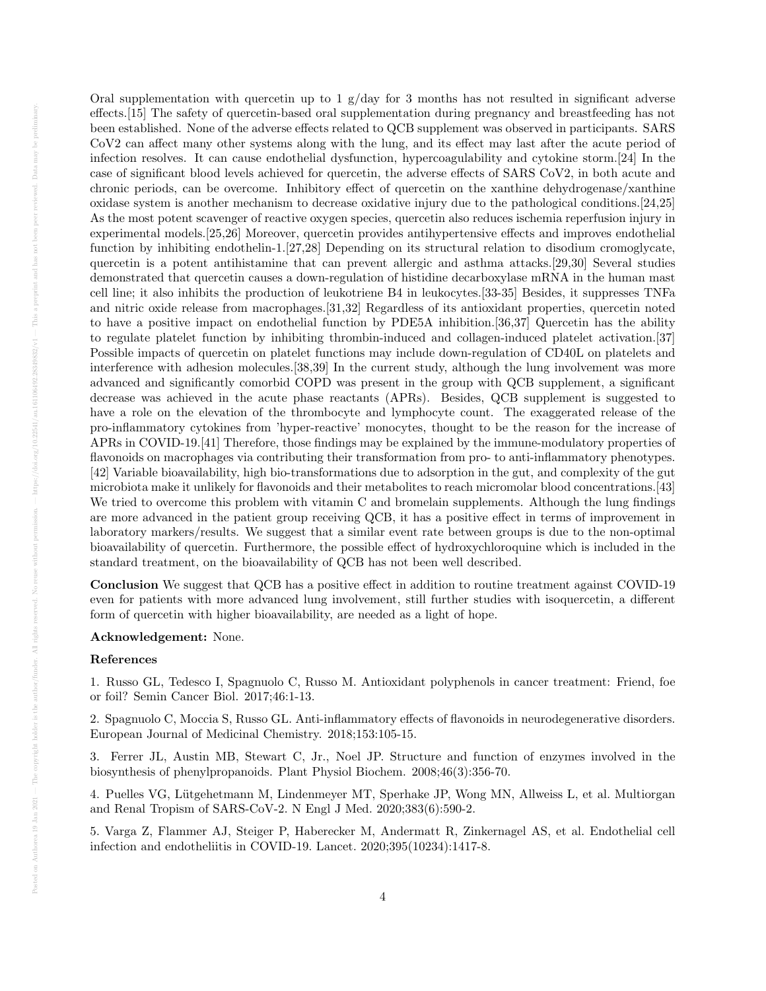Oral supplementation with quercetin up to 1  $g/dav$  for 3 months has not resulted in significant adverse effects.[15] The safety of quercetin-based oral supplementation during pregnancy and breastfeeding has not been established. None of the adverse effects related to QCB supplement was observed in participants. SARS CoV2 can affect many other systems along with the lung, and its effect may last after the acute period of infection resolves. It can cause endothelial dysfunction, hypercoagulability and cytokine storm.[24] In the case of significant blood levels achieved for quercetin, the adverse effects of SARS CoV2, in both acute and chronic periods, can be overcome. Inhibitory effect of quercetin on the xanthine dehydrogenase/xanthine oxidase system is another mechanism to decrease oxidative injury due to the pathological conditions.[24,25] As the most potent scavenger of reactive oxygen species, quercetin also reduces ischemia reperfusion injury in experimental models.[25,26] Moreover, quercetin provides antihypertensive effects and improves endothelial function by inhibiting endothelin-1.[27,28] Depending on its structural relation to disodium cromoglycate, quercetin is a potent antihistamine that can prevent allergic and asthma attacks.[29,30] Several studies demonstrated that quercetin causes a down-regulation of histidine decarboxylase mRNA in the human mast cell line; it also inhibits the production of leukotriene B4 in leukocytes.[33-35] Besides, it suppresses TNFa and nitric oxide release from macrophages.[31,32] Regardless of its antioxidant properties, quercetin noted to have a positive impact on endothelial function by PDE5A inhibition.[36,37] Quercetin has the ability to regulate platelet function by inhibiting thrombin-induced and collagen-induced platelet activation.[37] Possible impacts of quercetin on platelet functions may include down-regulation of CD40L on platelets and interference with adhesion molecules.[38,39] In the current study, although the lung involvement was more advanced and significantly comorbid COPD was present in the group with QCB supplement, a significant decrease was achieved in the acute phase reactants (APRs). Besides, QCB supplement is suggested to have a role on the elevation of the thrombocyte and lymphocyte count. The exaggerated release of the pro-inflammatory cytokines from 'hyper-reactive' monocytes, thought to be the reason for the increase of APRs in COVID-19.[41] Therefore, those findings may be explained by the immune-modulatory properties of flavonoids on macrophages via contributing their transformation from pro- to anti-inflammatory phenotypes. [42] Variable bioavailability, high bio-transformations due to adsorption in the gut, and complexity of the gut microbiota make it unlikely for flavonoids and their metabolites to reach micromolar blood concentrations.[43] We tried to overcome this problem with vitamin C and bromelain supplements. Although the lung findings are more advanced in the patient group receiving QCB, it has a positive effect in terms of improvement in laboratory markers/results. We suggest that a similar event rate between groups is due to the non-optimal bioavailability of quercetin. Furthermore, the possible effect of hydroxychloroquine which is included in the standard treatment, on the bioavailability of QCB has not been well described.

Conclusion We suggest that QCB has a positive effect in addition to routine treatment against COVID-19 even for patients with more advanced lung involvement, still further studies with isoquercetin, a different form of quercetin with higher bioavailability, are needed as a light of hope.

#### Acknowledgement: None.

#### References

1. Russo GL, Tedesco I, Spagnuolo C, Russo M. Antioxidant polyphenols in cancer treatment: Friend, foe or foil? Semin Cancer Biol. 2017;46:1-13.

2. Spagnuolo C, Moccia S, Russo GL. Anti-inflammatory effects of flavonoids in neurodegenerative disorders. European Journal of Medicinal Chemistry. 2018;153:105-15.

3. Ferrer JL, Austin MB, Stewart C, Jr., Noel JP. Structure and function of enzymes involved in the biosynthesis of phenylpropanoids. Plant Physiol Biochem. 2008;46(3):356-70.

4. Puelles VG, Lutgehetmann M, Lindenmeyer MT, Sperhake JP, Wong MN, Allweiss L, et al. Multiorgan ¨ and Renal Tropism of SARS-CoV-2. N Engl J Med. 2020;383(6):590-2.

5. Varga Z, Flammer AJ, Steiger P, Haberecker M, Andermatt R, Zinkernagel AS, et al. Endothelial cell infection and endotheliitis in COVID-19. Lancet. 2020;395(10234):1417-8.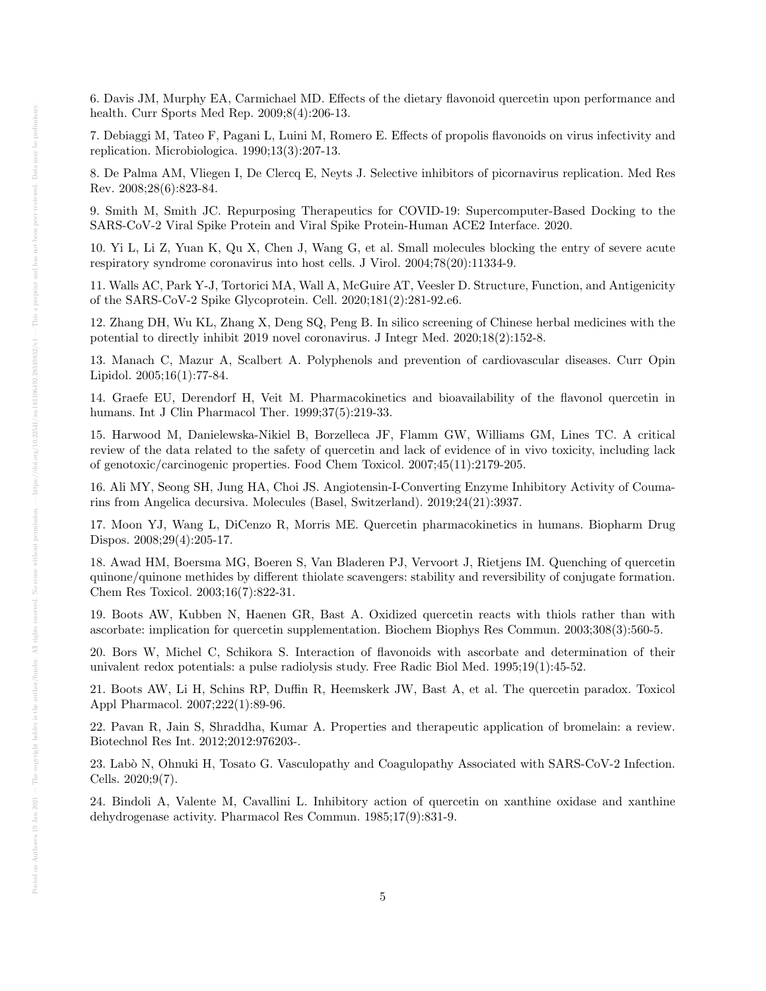6. Davis JM, Murphy EA, Carmichael MD. Effects of the dietary flavonoid quercetin upon performance and health. Curr Sports Med Rep. 2009;8(4):206-13.

7. Debiaggi M, Tateo F, Pagani L, Luini M, Romero E. Effects of propolis flavonoids on virus infectivity and replication. Microbiologica. 1990;13(3):207-13.

8. De Palma AM, Vliegen I, De Clercq E, Neyts J. Selective inhibitors of picornavirus replication. Med Res Rev. 2008;28(6):823-84.

9. Smith M, Smith JC. Repurposing Therapeutics for COVID-19: Supercomputer-Based Docking to the SARS-CoV-2 Viral Spike Protein and Viral Spike Protein-Human ACE2 Interface. 2020.

10. Yi L, Li Z, Yuan K, Qu X, Chen J, Wang G, et al. Small molecules blocking the entry of severe acute respiratory syndrome coronavirus into host cells. J Virol. 2004;78(20):11334-9.

11. Walls AC, Park Y-J, Tortorici MA, Wall A, McGuire AT, Veesler D. Structure, Function, and Antigenicity of the SARS-CoV-2 Spike Glycoprotein. Cell. 2020;181(2):281-92.e6.

12. Zhang DH, Wu KL, Zhang X, Deng SQ, Peng B. In silico screening of Chinese herbal medicines with the potential to directly inhibit 2019 novel coronavirus. J Integr Med. 2020;18(2):152-8.

13. Manach C, Mazur A, Scalbert A. Polyphenols and prevention of cardiovascular diseases. Curr Opin Lipidol. 2005;16(1):77-84.

14. Graefe EU, Derendorf H, Veit M. Pharmacokinetics and bioavailability of the flavonol quercetin in humans. Int J Clin Pharmacol Ther. 1999;37(5):219-33.

15. Harwood M, Danielewska-Nikiel B, Borzelleca JF, Flamm GW, Williams GM, Lines TC. A critical review of the data related to the safety of quercetin and lack of evidence of in vivo toxicity, including lack of genotoxic/carcinogenic properties. Food Chem Toxicol. 2007;45(11):2179-205.

16. Ali MY, Seong SH, Jung HA, Choi JS. Angiotensin-I-Converting Enzyme Inhibitory Activity of Coumarins from Angelica decursiva. Molecules (Basel, Switzerland). 2019;24(21):3937.

17. Moon YJ, Wang L, DiCenzo R, Morris ME. Quercetin pharmacokinetics in humans. Biopharm Drug Dispos. 2008;29(4):205-17.

18. Awad HM, Boersma MG, Boeren S, Van Bladeren PJ, Vervoort J, Rietjens IM. Quenching of quercetin quinone/quinone methides by different thiolate scavengers: stability and reversibility of conjugate formation. Chem Res Toxicol. 2003;16(7):822-31.

19. Boots AW, Kubben N, Haenen GR, Bast A. Oxidized quercetin reacts with thiols rather than with ascorbate: implication for quercetin supplementation. Biochem Biophys Res Commun. 2003;308(3):560-5.

20. Bors W, Michel C, Schikora S. Interaction of flavonoids with ascorbate and determination of their univalent redox potentials: a pulse radiolysis study. Free Radic Biol Med. 1995;19(1):45-52.

21. Boots AW, Li H, Schins RP, Duffin R, Heemskerk JW, Bast A, et al. The quercetin paradox. Toxicol Appl Pharmacol. 2007;222(1):89-96.

22. Pavan R, Jain S, Shraddha, Kumar A. Properties and therapeutic application of bromelain: a review. Biotechnol Res Int. 2012;2012:976203-.

23. Lab`o N, Ohnuki H, Tosato G. Vasculopathy and Coagulopathy Associated with SARS-CoV-2 Infection. Cells. 2020;9(7).

24. Bindoli A, Valente M, Cavallini L. Inhibitory action of quercetin on xanthine oxidase and xanthine dehydrogenase activity. Pharmacol Res Commun. 1985;17(9):831-9.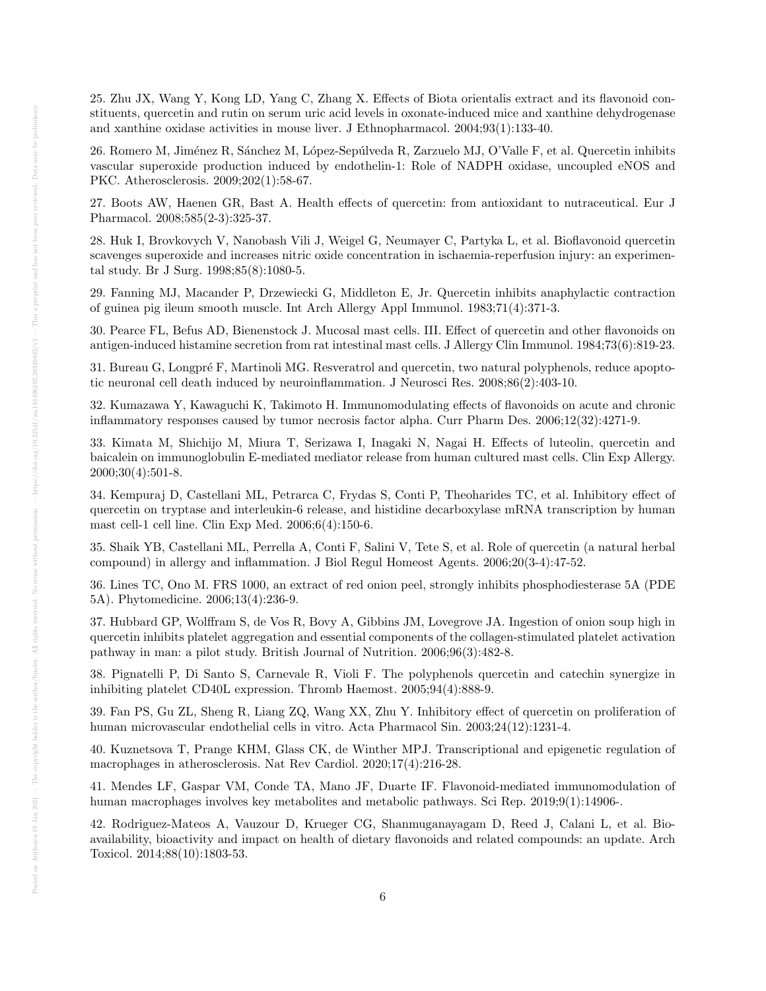25. Zhu JX, Wang Y, Kong LD, Yang C, Zhang X. Effects of Biota orientalis extract and its flavonoid constituents, quercetin and rutin on serum uric acid levels in oxonate-induced mice and xanthine dehydrogenase and xanthine oxidase activities in mouse liver. J Ethnopharmacol. 2004;93(1):133-40.

26. Romero M, Jiménez R, Sánchez M, López-Sepúlveda R, Zarzuelo MJ, O'Valle F, et al. Quercetin inhibits vascular superoxide production induced by endothelin-1: Role of NADPH oxidase, uncoupled eNOS and PKC. Atherosclerosis. 2009;202(1):58-67.

27. Boots AW, Haenen GR, Bast A. Health effects of quercetin: from antioxidant to nutraceutical. Eur J Pharmacol. 2008;585(2-3):325-37.

28. Huk I, Brovkovych V, Nanobash Vili J, Weigel G, Neumayer C, Partyka L, et al. Bioflavonoid quercetin scavenges superoxide and increases nitric oxide concentration in ischaemia-reperfusion injury: an experimental study. Br J Surg. 1998;85(8):1080-5.

29. Fanning MJ, Macander P, Drzewiecki G, Middleton E, Jr. Quercetin inhibits anaphylactic contraction of guinea pig ileum smooth muscle. Int Arch Allergy Appl Immunol. 1983;71(4):371-3.

30. Pearce FL, Befus AD, Bienenstock J. Mucosal mast cells. III. Effect of quercetin and other flavonoids on antigen-induced histamine secretion from rat intestinal mast cells. J Allergy Clin Immunol. 1984;73(6):819-23.

31. Bureau G, Longpré F, Martinoli MG. Resveratrol and quercetin, two natural polyphenols, reduce apoptotic neuronal cell death induced by neuroinflammation. J Neurosci Res. 2008;86(2):403-10.

32. Kumazawa Y, Kawaguchi K, Takimoto H. Immunomodulating effects of flavonoids on acute and chronic inflammatory responses caused by tumor necrosis factor alpha. Curr Pharm Des. 2006;12(32):4271-9.

33. Kimata M, Shichijo M, Miura T, Serizawa I, Inagaki N, Nagai H. Effects of luteolin, quercetin and baicalein on immunoglobulin E-mediated mediator release from human cultured mast cells. Clin Exp Allergy. 2000;30(4):501-8.

34. Kempuraj D, Castellani ML, Petrarca C, Frydas S, Conti P, Theoharides TC, et al. Inhibitory effect of quercetin on tryptase and interleukin-6 release, and histidine decarboxylase mRNA transcription by human mast cell-1 cell line. Clin Exp Med. 2006;6(4):150-6.

35. Shaik YB, Castellani ML, Perrella A, Conti F, Salini V, Tete S, et al. Role of quercetin (a natural herbal compound) in allergy and inflammation. J Biol Regul Homeost Agents. 2006;20(3-4):47-52.

36. Lines TC, Ono M. FRS 1000, an extract of red onion peel, strongly inhibits phosphodiesterase 5A (PDE 5A). Phytomedicine. 2006;13(4):236-9.

37. Hubbard GP, Wolffram S, de Vos R, Bovy A, Gibbins JM, Lovegrove JA. Ingestion of onion soup high in quercetin inhibits platelet aggregation and essential components of the collagen-stimulated platelet activation pathway in man: a pilot study. British Journal of Nutrition. 2006;96(3):482-8.

38. Pignatelli P, Di Santo S, Carnevale R, Violi F. The polyphenols quercetin and catechin synergize in inhibiting platelet CD40L expression. Thromb Haemost. 2005;94(4):888-9.

39. Fan PS, Gu ZL, Sheng R, Liang ZQ, Wang XX, Zhu Y. Inhibitory effect of quercetin on proliferation of human microvascular endothelial cells in vitro. Acta Pharmacol Sin. 2003;24(12):1231-4.

40. Kuznetsova T, Prange KHM, Glass CK, de Winther MPJ. Transcriptional and epigenetic regulation of macrophages in atherosclerosis. Nat Rev Cardiol. 2020;17(4):216-28.

41. Mendes LF, Gaspar VM, Conde TA, Mano JF, Duarte IF. Flavonoid-mediated immunomodulation of human macrophages involves key metabolites and metabolic pathways. Sci Rep. 2019;9(1):14906-.

42. Rodriguez-Mateos A, Vauzour D, Krueger CG, Shanmuganayagam D, Reed J, Calani L, et al. Bioavailability, bioactivity and impact on health of dietary flavonoids and related compounds: an update. Arch Toxicol. 2014;88(10):1803-53.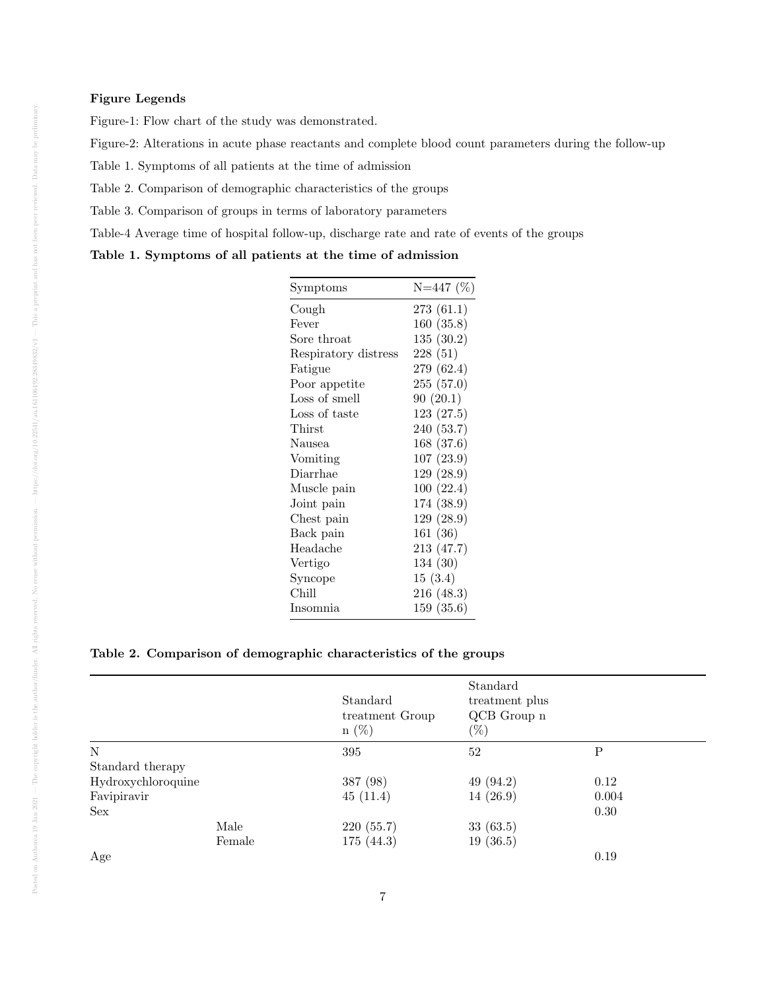#### Figure Legends

Figure-1: Flow chart of the study was demonstrated.

Figure-2: Alterations in acute phase reactants and complete blood count parameters during the follow-up

Table 1. Symptoms of all patients at the time of admission

Table 2. Comparison of demographic characteristics of the groups

Table 3. Comparison of groups in terms of laboratory parameters

Table-4 Average time of hospital follow-up, discharge rate and rate of events of the groups

Table 1. Symptoms of all patients at the time of admission

| Symptoms             | $N=447$ (%) |
|----------------------|-------------|
| Cough                | 273(61.1)   |
| Fever                | 160(35.8)   |
| Sore throat          | 135(30.2)   |
| Respiratory distress | 228(51)     |
| Fatigue              | 279 (62.4)  |
| Poor appetite        | 255(57.0)   |
| Loss of smell        | 90(20.1)    |
| Loss of taste        | 123(27.5)   |
| Thirst               | 240 (53.7)  |
| Nausea               | 168 (37.6)  |
| Vomiting             | 107(23.9)   |
| Diarrhae             | 129(28.9)   |
| Muscle pain          | 100(22.4)   |
| Joint pain           | 174 (38.9)  |
| Chest pain           | 129(28.9)   |
| Back pain            | 161 (36)    |
| Headache             | 213 (47.7)  |
| Vertigo              | 134(30)     |
| Syncope              | 15(3.4)     |
| Chill                | 216 (48.3)  |
| Insomnia             | 159 (35.6)  |

### Table 2. Comparison of demographic characteristics of the groups

|                    |        | Standard<br>treatment Group<br>$n(\%)$ | Standard<br>treatment plus<br>QCB Group n<br>$(\%)$ |             |
|--------------------|--------|----------------------------------------|-----------------------------------------------------|-------------|
| $\mathbf N$        |        | 395                                    | 52                                                  | $\mathbf P$ |
| Standard therapy   |        |                                        |                                                     |             |
| Hydroxychloroquine |        | 387 (98)                               | 49(94.2)                                            | 0.12        |
| Favipiravir        |        | 45(11.4)                               | 14(26.9)                                            | 0.004       |
| Sex                |        |                                        |                                                     | 0.30        |
|                    | Male   | 220 (55.7)                             | 33(63.5)                                            |             |
|                    | Female | 175(44.3)                              | 19(36.5)                                            |             |
| Age                |        |                                        |                                                     | 0.19        |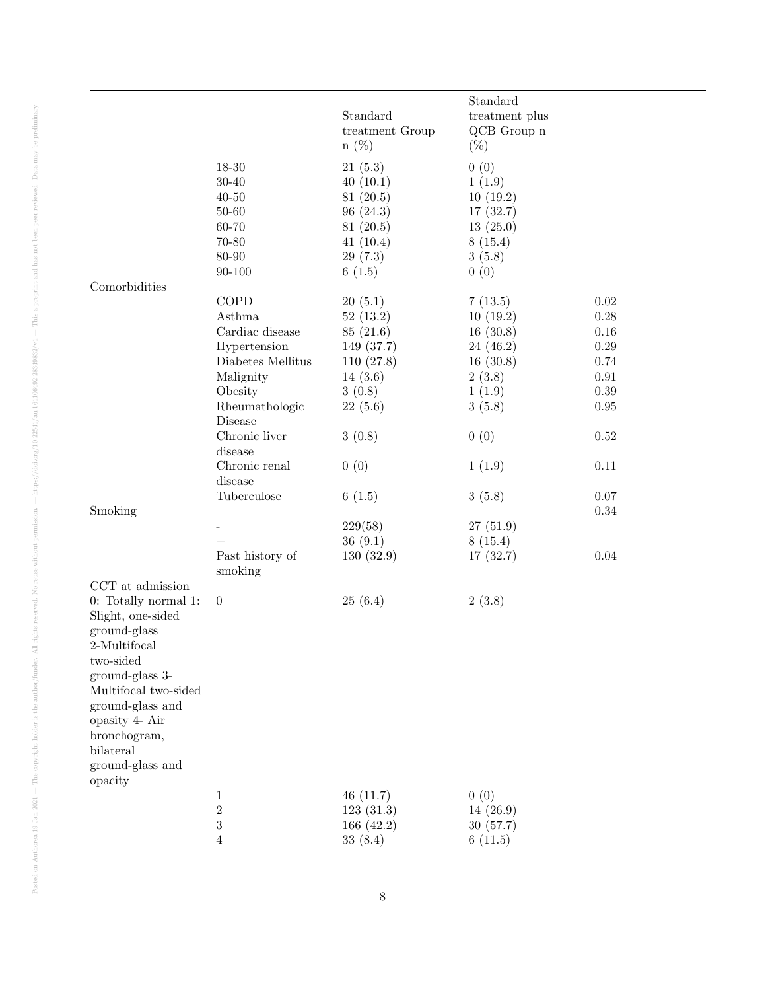|                                |                     | Standard<br>treatment Group<br>$n(\%)$ | Standard<br>treatment plus<br>QCB Group n<br>$(\%)$ |            |
|--------------------------------|---------------------|----------------------------------------|-----------------------------------------------------|------------|
|                                | 18-30               | 21(5.3)                                | 0(0)                                                |            |
|                                | $30 - 40$           | 40(10.1)                               | 1(1.9)                                              |            |
|                                | $40 - 50$           | 81(20.5)                               | 10(19.2)                                            |            |
|                                | $50 - 60$           | 96(24.3)                               | 17(32.7)                                            |            |
|                                | 60-70               | 81(20.5)                               | 13(25.0)                                            |            |
|                                | $70 - 80$           | 41(10.4)                               | 8(15.4)                                             |            |
|                                | 80-90               | 29(7.3)                                | 3(5.8)                                              |            |
|                                | $90 - 100$          | 6(1.5)                                 | 0(0)                                                |            |
| Comorbidities                  |                     |                                        |                                                     |            |
|                                | COPD                | 20(5.1)                                | 7(13.5)                                             | $0.02\,$   |
|                                | Asthma              | 52(13.2)                               | 10(19.2)                                            | 0.28       |
|                                | Cardiac disease     | 85(21.6)                               | 16(30.8)                                            | $0.16\,$   |
|                                | Hypertension        | 149 (37.7)                             | 24(46.2)                                            | $0.29\,$   |
|                                | Diabetes Mellitus   | 110(27.8)                              | 16(30.8)                                            | 0.74       |
|                                | Malignity           | 14(3.6)                                | 2(3.8)                                              | $\rm 0.91$ |
|                                | Obesity             | 3(0.8)                                 | 1(1.9)                                              | 0.39       |
|                                | Rheumathologic      | 22(5.6)                                | 3(5.8)                                              | $0.95\,$   |
|                                | Disease             |                                        |                                                     |            |
|                                | Chronic liver       | 3(0.8)                                 | 0(0)                                                | $0.52\,$   |
|                                | disease             |                                        |                                                     |            |
|                                | Chronic renal       | 0(0)                                   | 1(1.9)                                              | $0.11\,$   |
|                                | disease             |                                        |                                                     |            |
|                                | Tuberculose         | 6(1.5)                                 | 3(5.8)                                              | $0.07\,$   |
| Smoking                        |                     |                                        |                                                     | $0.34\,$   |
|                                |                     | 229(58)                                | 27(51.9)                                            |            |
|                                | $+$                 | 36(9.1)                                | 8(15.4)                                             |            |
|                                | Past history of     | 130(32.9)                              | 17(32.7)                                            | $0.04\,$   |
|                                | smoking             |                                        |                                                     |            |
| CCT at admission               |                     |                                        |                                                     |            |
| 0: Totally normal 1:           | $\overline{0}$      | 25(6.4)                                | 2(3.8)                                              |            |
| Slight, one-sided              |                     |                                        |                                                     |            |
| ground-glass                   |                     |                                        |                                                     |            |
| $2\mbox{-}\mathrm{Multifocal}$ |                     |                                        |                                                     |            |
| two-sided                      |                     |                                        |                                                     |            |
| ground-glass 3-                |                     |                                        |                                                     |            |
| Multifocal two-sided           |                     |                                        |                                                     |            |
| ground-glass and               |                     |                                        |                                                     |            |
| opasity 4- Air                 |                     |                                        |                                                     |            |
| bronchogram,                   |                     |                                        |                                                     |            |
| bilateral                      |                     |                                        |                                                     |            |
| ground-glass and               |                     |                                        |                                                     |            |
| opacity                        |                     |                                        |                                                     |            |
|                                |                     |                                        | 0(0)                                                |            |
|                                | 1<br>$\overline{2}$ | 46(11.7)                               |                                                     |            |
|                                | 3                   | 123(31.3)                              | 14(26.9)<br>30(57.7)                                |            |
|                                |                     | 166 $(42.2)$                           |                                                     |            |
|                                | 4                   | 33(8.4)                                | 6(11.5)                                             |            |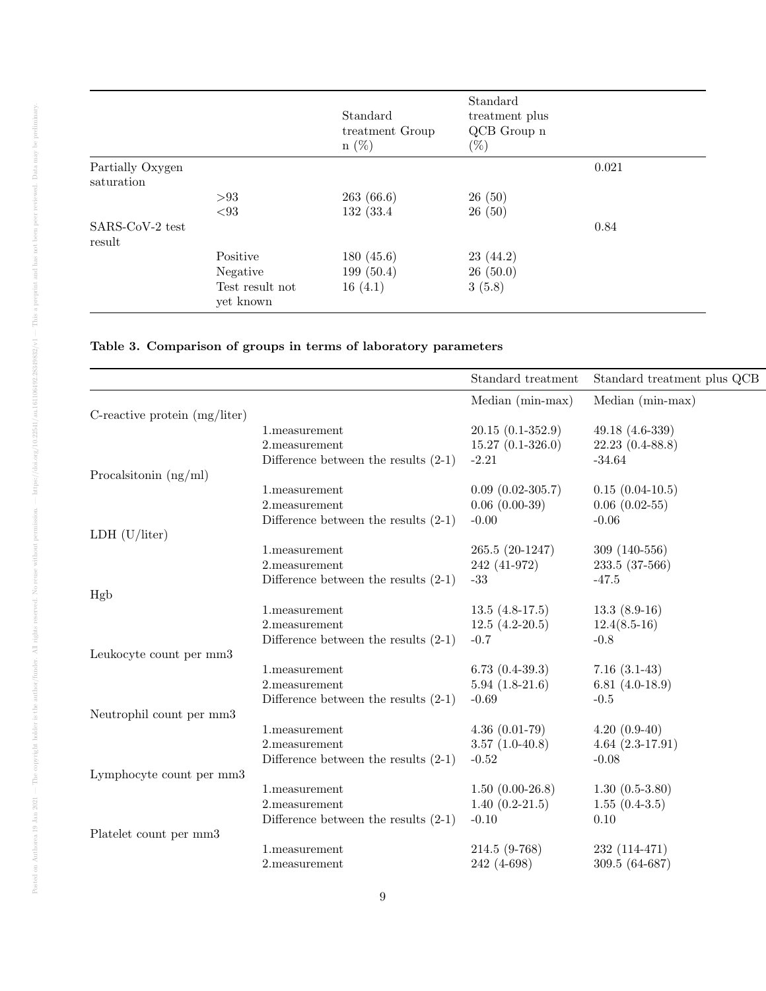|                                |                              | Standard<br>treatment Group<br>$n(\%)$ | Standard<br>treatment plus<br>QCB Group n<br>$(\%)$ |       |
|--------------------------------|------------------------------|----------------------------------------|-----------------------------------------------------|-------|
| Partially Oxygen<br>saturation |                              |                                        |                                                     | 0.021 |
|                                | > 93                         | 263(66.6)                              | 26(50)                                              |       |
|                                | < 93                         | 132 (33.4)                             | 26(50)                                              |       |
| SARS-CoV-2 test<br>result      |                              |                                        |                                                     | 0.84  |
|                                | Positive                     | 180(45.6)                              | 23(44.2)                                            |       |
|                                | Negative                     | 199(50.4)                              | 26(50.0)                                            |       |
|                                | Test result not<br>yet known | 16(4.1)                                | 3(5.8)                                              |       |

## Table 3. Comparison of groups in terms of laboratory parameters

|                                 |                                        | Standard treatment | Standard treatment plus QCB |
|---------------------------------|----------------------------------------|--------------------|-----------------------------|
|                                 |                                        | Median (min-max)   | Median (min-max)            |
| C-reactive protein $(mg/liter)$ |                                        |                    |                             |
|                                 | 1.measurement                          | $20.15(0.1-352.9)$ | 49.18 $(4.6-339)$           |
|                                 | 2.measurement                          | $15.27(0.1-326.0)$ | $22.23(0.4-88.8)$           |
|                                 | Difference between the results $(2-1)$ | $-2.21$            | $-34.64$                    |
| Procalsitonin $(ng/ml)$         |                                        |                    |                             |
|                                 | 1.measurement                          | $0.09(0.02-305.7)$ | $0.15(0.04-10.5)$           |
|                                 | 2.measurement                          | $0.06(0.00-39)$    | $0.06(0.02-55)$             |
|                                 | Difference between the results $(2-1)$ | $-0.00$            | $-0.06$                     |
| LDH $(U/liter)$                 |                                        |                    |                             |
|                                 | 1.measurement                          | 265.5 (20-1247)    | $309(140-556)$              |
|                                 | 2.measurement                          | 242 (41-972)       | 233.5 (37-566)              |
|                                 | Difference between the results $(2-1)$ | $-33$              | $-47.5$                     |
| Hgb                             |                                        |                    |                             |
|                                 | 1.measurement                          | $13.5(4.8-17.5)$   | $13.3(8.9-16)$              |
|                                 | 2.measurement                          | $12.5(4.2-20.5)$   | $12.4(8.5-16)$              |
|                                 | Difference between the results $(2-1)$ | $-0.7$             | $-0.8$                      |
| Leukocyte count per mm3         |                                        |                    |                             |
|                                 | 1.measurement                          | $6.73(0.4-39.3)$   | $7.16(3.1-43)$              |
|                                 | 2.measurement                          | $5.94(1.8-21.6)$   | 6.81 $(4.0-18.9)$           |
|                                 | Difference between the results $(2-1)$ | $-0.69$            | $-0.5$                      |
| Neutrophil count per mm3        |                                        |                    |                             |
|                                 | 1.measurement                          | $4.36(0.01-79)$    | $4.20(0.9-40)$              |
|                                 | 2.measurement                          | $3.57(1.0-40.8)$   | $4.64(2.3-17.91)$           |
|                                 | Difference between the results $(2-1)$ | $-0.52$            | $-0.08$                     |
| Lymphocyte count per mm3        |                                        |                    |                             |
|                                 | 1.measurement                          | $1.50(0.00-26.8)$  | $1.30(0.5-3.80)$            |
|                                 | 2.measurement                          | $1.40(0.2-21.5)$   | $1.55(0.4-3.5)$             |
|                                 | Difference between the results $(2-1)$ | $-0.10$            | 0.10                        |
| Platelet count per mm3          |                                        |                    |                             |
|                                 | 1.measurement                          | 214.5 (9-768)      | $232(114-471)$              |
|                                 | 2. measurement                         | 242 (4-698)        | 309.5 (64-687)              |
|                                 |                                        |                    |                             |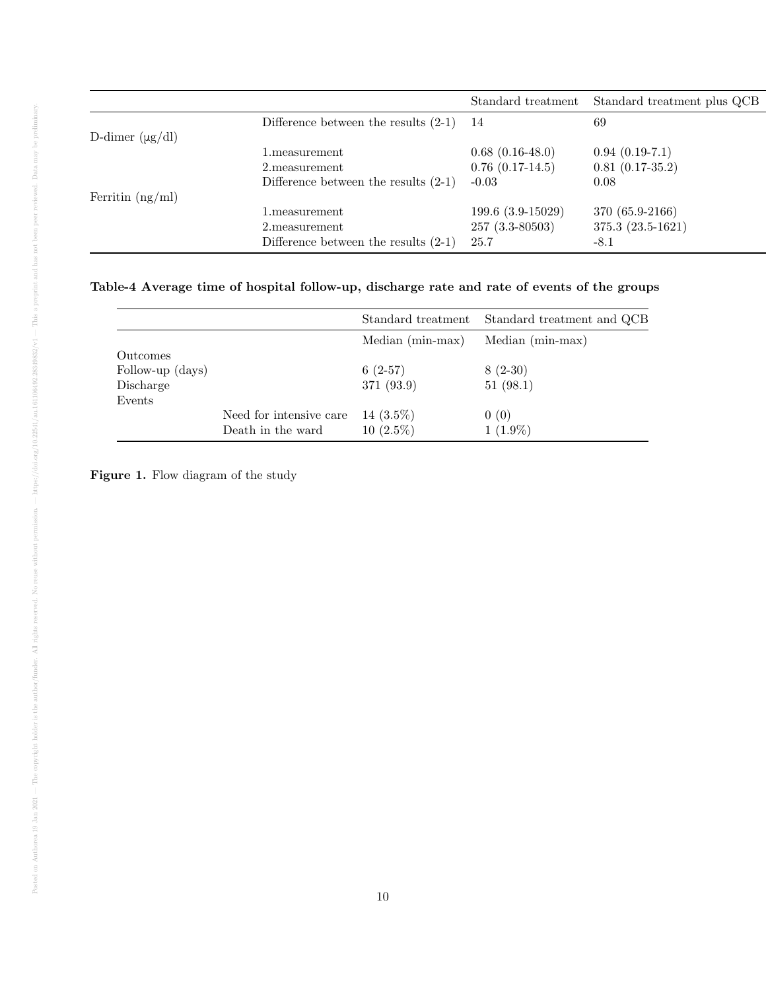|                      |                                        | Standard treatment   | Standard treatment plus QCB |
|----------------------|----------------------------------------|----------------------|-----------------------------|
|                      | Difference between the results $(2-1)$ | 14                   | 69                          |
| D-dimer $(\mu g/dl)$ |                                        |                      |                             |
|                      | $1.\text{measurement}$                 | $0.68(0.16-48.0)$    | $0.94(0.19-7.1)$            |
|                      | 2. measurement                         | $0.76$ $(0.17-14.5)$ | $0.81(0.17-35.2)$           |
|                      | Difference between the results $(2-1)$ | $-0.03$              | 0.08                        |
| Ferritin $(ng/ml)$   |                                        |                      |                             |
|                      | $1.\text{measurement}$                 | 199.6 (3.9-15029)    | 370 (65.9-2166)             |
|                      | 2. measurement                         | $257(3.3 - 80503)$   | $375.3(23.5-1621)$          |
|                      | Difference between the results $(2-1)$ | 25.7                 | -8.1                        |

## Table-4 Average time of hospital follow-up, discharge rate and rate of events of the groups

|                                           |                                              | Standard treatment          | Standard treatment and QCB |
|-------------------------------------------|----------------------------------------------|-----------------------------|----------------------------|
|                                           |                                              | $Median (min-max)$          | Median (min-max)           |
| Outcomes<br>Follow-up (days)<br>Discharge |                                              | $6(2-57)$<br>371 (93.9)     | $8(2-30)$<br>51(98.1)      |
| Events                                    | Need for intensive care<br>Death in the ward | 14 $(3.5\%)$<br>$10(2.5\%)$ | 0(0)<br>$1(1.9\%)$         |

Figure 1. Flow diagram of the study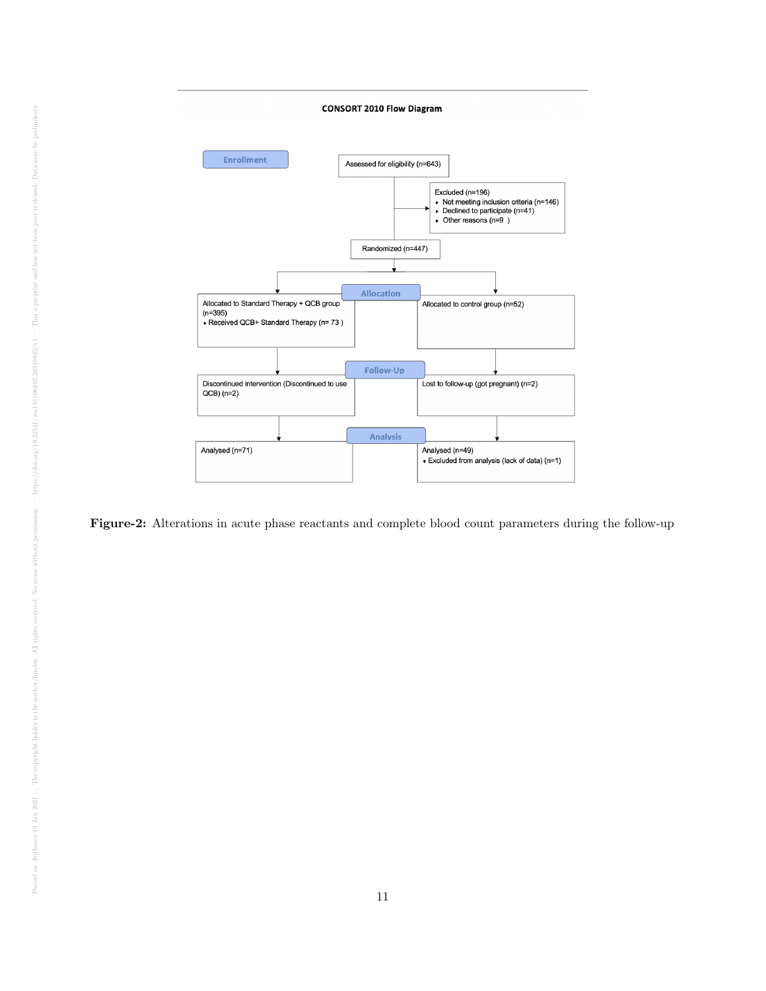

Figure-2: Alterations in acute phase reactants and complete blood count parameters during the follow-up